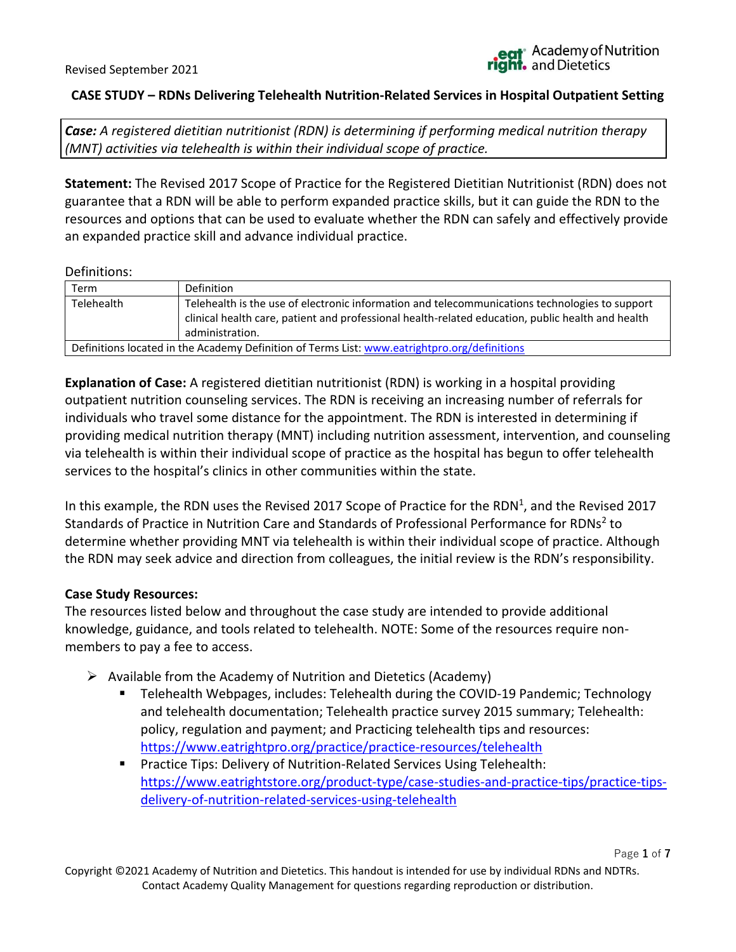Page **1** of **7**

### **CASE STUDY – RDNs Delivering Telehealth Nutrition-Related Services in Hospital Outpatient Setting**

*Case: A registered dietitian nutritionist (RDN) is determining if performing medical nutrition therapy (MNT) activities via telehealth is within their individual scope of practice.* 

**Statement:** The Revised 2017 Scope of Practice for the Registered Dietitian Nutritionist (RDN) does not guarantee that a RDN will be able to perform expanded practice skills, but it can guide the RDN to the resources and options that can be used to evaluate whether the RDN can safely and effectively provide an expanded practice skill and advance individual practice.

#### Definitions:

| Term                                                                                         | Definition                                                                                                                                                                                                             |
|----------------------------------------------------------------------------------------------|------------------------------------------------------------------------------------------------------------------------------------------------------------------------------------------------------------------------|
| <b>Telehealth</b>                                                                            | Telehealth is the use of electronic information and telecommunications technologies to support<br>clinical health care, patient and professional health-related education, public health and health<br>administration. |
| Definitions located in the Academy Definition of Terms List: www.eatrightpro.org/definitions |                                                                                                                                                                                                                        |

**Explanation of Case:** A registered dietitian nutritionist (RDN) is working in a hospital providing outpatient nutrition counseling services. The RDN is receiving an increasing number of referrals for individuals who travel some distance for the appointment. The RDN is interested in determining if providing medical nutrition therapy (MNT) including nutrition assessment, intervention, and counseling via telehealth is within their individual scope of practice as the hospital has begun to offer telehealth services to the hospital's clinics in other communities within the state.

In this example, the RDN uses the Revised 2017 Scope of Practice for the RDN<sup>1</sup>, and the Revised 2017 Standards of Practice in Nutrition Care and Standards of Professional Performance for RDNs<sup>2</sup> to determine whether providing MNT via telehealth is within their individual scope of practice. Although the RDN may seek advice and direction from colleagues, the initial review is the RDN's responsibility.

### **Case Study Resources:**

The resources listed below and throughout the case study are intended to provide additional knowledge, guidance, and tools related to telehealth. NOTE: Some of the resources require nonmembers to pay a fee to access.

- $\triangleright$  Available from the Academy of Nutrition and Dietetics (Academy)
	- Telehealth Webpages, includes: Telehealth during the COVID-19 Pandemic; Technology and telehealth documentation; Telehealth practice survey 2015 summary; Telehealth: policy, regulation and payment; and Practicing telehealth tips and resources: <https://www.eatrightpro.org/practice/practice-resources/telehealth>
	- Practice Tips: Delivery of Nutrition-Related Services Using Telehealth: [https://www.eatrightstore.org/product-type/case-studies-and-practice-tips/practice-tips](https://www.eatrightstore.org/product-type/case-studies-and-practice-tips/practice-tips-delivery-of-nutrition-related-services-using-telehealth)[delivery-of-nutrition-related-services-using-telehealth](https://www.eatrightstore.org/product-type/case-studies-and-practice-tips/practice-tips-delivery-of-nutrition-related-services-using-telehealth)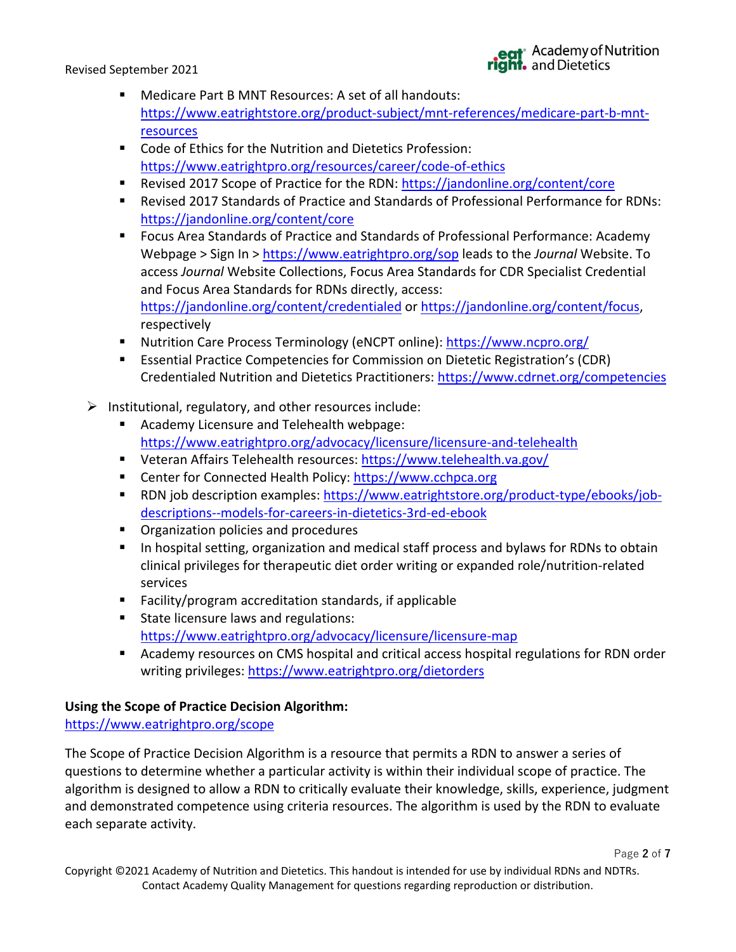- Medicare Part B MNT Resources: A set of all handouts: [https://www.eatrightstore.org/product-subject/mnt-references/medicare-part-b-mnt](https://www.eatrightstore.org/product-subject/mnt-references/medicare-part-b-mnt-resources)[resources](https://www.eatrightstore.org/product-subject/mnt-references/medicare-part-b-mnt-resources)
- Code of Ethics for the Nutrition and Dietetics Profession: <https://www.eatrightpro.org/resources/career/code-of-ethics>
- Revised 2017 Scope of Practice for the RDN:<https://jandonline.org/content/core>
- Revised 2017 Standards of Practice and Standards of Professional Performance for RDNs: <https://jandonline.org/content/core>
- Focus Area Standards of Practice and Standards of Professional Performance: Academy Webpage > Sign In ><https://www.eatrightpro.org/sop> leads to the *Journal* Website. To access *Journal* Website Collections, Focus Area Standards for CDR Specialist Credential and Focus Area Standards for RDNs directly, access: <https://jandonline.org/content/credentialed> or [https://jandonline.org/content/focus,](https://jandonline.org/content/focus) respectively
- Nutrition Care Process Terminology (eNCPT online):<https://www.ncpro.org/>
- Essential Practice Competencies for Commission on Dietetic Registration's (CDR) Credentialed Nutrition and Dietetics Practitioners:<https://www.cdrnet.org/competencies>
- $\triangleright$  Institutional, regulatory, and other resources include:
	- Academy Licensure and Telehealth webpage: <https://www.eatrightpro.org/advocacy/licensure/licensure-and-telehealth>
	- Veteran Affairs Telehealth resources:<https://www.telehealth.va.gov/>
	- Center for Connected Health Policy: [https://www.cchpca.org](https://www.cchpca.org/)
	- RDN job description examples: [https://www.eatrightstore.org/product-type/ebooks/job](https://www.eatrightstore.org/product-type/ebooks/job-descriptions--models-for-careers-in-dietetics-3rd-ed-ebook)[descriptions--models-for-careers-in-dietetics-3rd-ed-ebook](https://www.eatrightstore.org/product-type/ebooks/job-descriptions--models-for-careers-in-dietetics-3rd-ed-ebook)
	- Organization policies and procedures
	- In hospital setting, organization and medical staff process and bylaws for RDNs to obtain clinical privileges for therapeutic diet order writing or expanded role/nutrition-related services
	- Facility/program accreditation standards, if applicable
	- State licensure laws and regulations: <https://www.eatrightpro.org/advocacy/licensure/licensure-map>
	- Academy resources on CMS hospital and critical access hospital regulations for RDN order writing privileges:<https://www.eatrightpro.org/dietorders>

# **Using the Scope of Practice Decision Algorithm:**

# <https://www.eatrightpro.org/scope>

The Scope of Practice Decision Algorithm is a resource that permits a RDN to answer a series of questions to determine whether a particular activity is within their individual scope of practice. The algorithm is designed to allow a RDN to critically evaluate their knowledge, skills, experience, judgment and demonstrated competence using criteria resources. The algorithm is used by the RDN to evaluate each separate activity.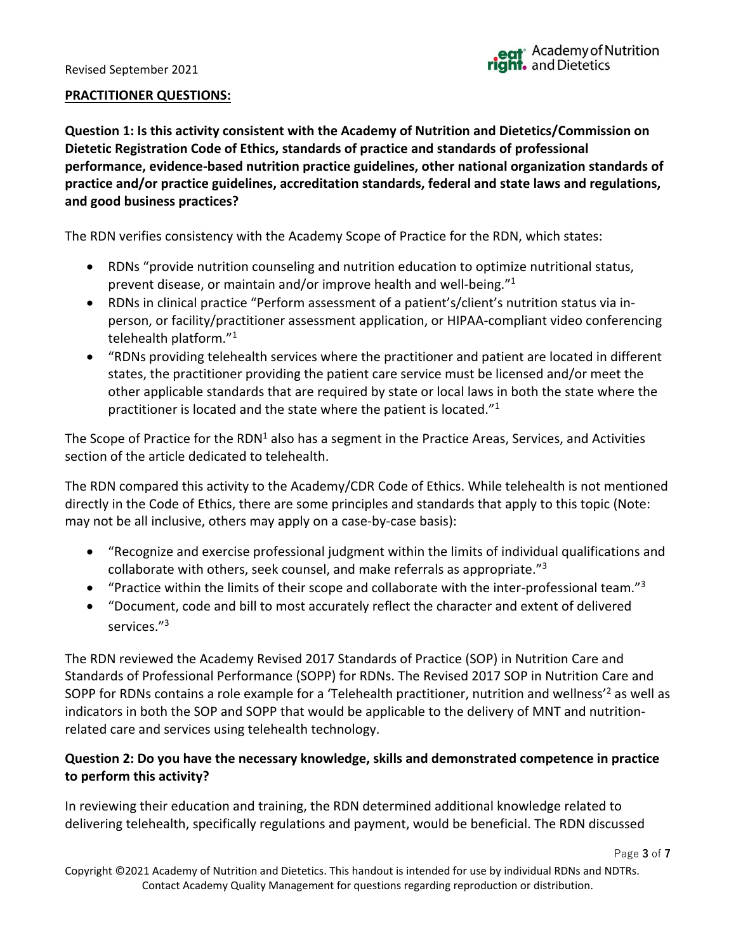#### **PRACTITIONER QUESTIONS:**

**Question 1: Is this activity consistent with the Academy of Nutrition and Dietetics/Commission on Dietetic Registration Code of Ethics, standards of practice and standards of professional performance, evidence-based nutrition practice guidelines, other national organization standards of practice and/or practice guidelines, accreditation standards, federal and state laws and regulations, and good business practices?**

The RDN verifies consistency with the Academy Scope of Practice for the RDN, which states:

- RDNs "provide nutrition counseling and nutrition education to optimize nutritional status, prevent disease, or maintain and/or improve health and well-being." 1
- RDNs in clinical practice "Perform assessment of a patient's/client's nutrition status via inperson, or facility/practitioner assessment application, or HIPAA-compliant video conferencing telehealth platform."<sup>1</sup>
- "RDNs providing telehealth services where the practitioner and patient are located in different states, the practitioner providing the patient care service must be licensed and/or meet the other applicable standards that are required by state or local laws in both the state where the practitioner is located and the state where the patient is located."<sup>1</sup>

The Scope of Practice for the RDN<sup>1</sup> also has a segment in the Practice Areas, Services, and Activities section of the article dedicated to telehealth.

The RDN compared this activity to the Academy/CDR Code of Ethics. While telehealth is not mentioned directly in the Code of Ethics, there are some principles and standards that apply to this topic (Note: may not be all inclusive, others may apply on a case-by-case basis):

- "Recognize and exercise professional judgment within the limits of individual qualifications and collaborate with others, seek counsel, and make referrals as appropriate."<sup>3</sup>
- "Practice within the limits of their scope and collaborate with the inter-professional team."<sup>3</sup>
- "Document, code and bill to most accurately reflect the character and extent of delivered services."<sup>3</sup>

The RDN reviewed the Academy Revised 2017 Standards of Practice (SOP) in Nutrition Care and Standards of Professional Performance (SOPP) for RDNs. The Revised 2017 SOP in Nutrition Care and SOPP for RDNs contains a role example for a 'Telehealth practitioner, nutrition and wellness<sup>'2</sup> as well as indicators in both the SOP and SOPP that would be applicable to the delivery of MNT and nutritionrelated care and services using telehealth technology.

### **Question 2: Do you have the necessary knowledge, skills and demonstrated competence in practice to perform this activity?**

In reviewing their education and training, the RDN determined additional knowledge related to delivering telehealth, specifically regulations and payment, would be beneficial. The RDN discussed

Copyright ©2021 Academy of Nutrition and Dietetics. This handout is intended for use by individual RDNs and NDTRs. Contact Academy Quality Management for questions regarding reproduction or distribution.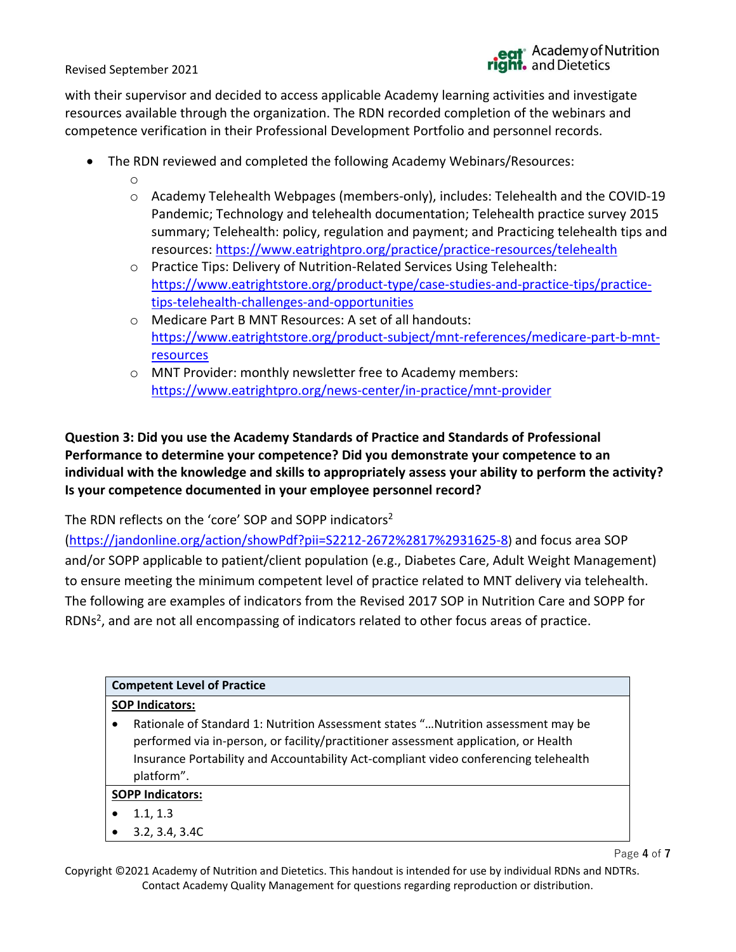with their supervisor and decided to access applicable Academy learning activities and investigate resources available through the organization. The RDN recorded completion of the webinars and competence verification in their Professional Development Portfolio and personnel records.

- The RDN reviewed and completed the following Academy Webinars/Resources:
	- o
	- o Academy Telehealth Webpages (members-only), includes: Telehealth and the COVID-19 Pandemic; Technology and telehealth documentation; Telehealth practice survey 2015 summary; Telehealth: policy, regulation and payment; and Practicing telehealth tips and resources:<https://www.eatrightpro.org/practice/practice-resources/telehealth>
	- o Practice Tips: Delivery of Nutrition-Related Services Using Telehealth: [https://www.eatrightstore.org/product-type/case-studies-and-practice-tips/practice](https://www.eatrightstore.org/product-type/case-studies-and-practice-tips/practice-tips-telehealth-challenges-and-opportunities)[tips-telehealth-challenges-and-opportunities](https://www.eatrightstore.org/product-type/case-studies-and-practice-tips/practice-tips-telehealth-challenges-and-opportunities)
	- o Medicare Part B MNT Resources: A set of all handouts: [https://www.eatrightstore.org/product-subject/mnt-references/medicare-part-b-mnt](https://www.eatrightstore.org/product-subject/mnt-references/medicare-part-b-mnt-resources)**[resources](https://www.eatrightstore.org/product-subject/mnt-references/medicare-part-b-mnt-resources)**
	- o MNT Provider: monthly newsletter free to Academy members: <https://www.eatrightpro.org/news-center/in-practice/mnt-provider>

# **Question 3: Did you use the Academy Standards of Practice and Standards of Professional Performance to determine your competence? Did you demonstrate your competence to an individual with the knowledge and skills to appropriately assess your ability to perform the activity? Is your competence documented in your employee personnel record?**

The RDN reflects on the 'core' SOP and SOPP indicators<sup>2</sup>

[\(https://jandonline.org/action/showPdf?pii=S2212-2672%2817%2931625-8](https://jandonline.org/action/showPdf?pii=S2212-2672%2817%2931625-8)) and focus area SOP and/or SOPP applicable to patient/client population (e.g., Diabetes Care, Adult Weight Management) to ensure meeting the minimum competent level of practice related to MNT delivery via telehealth. The following are examples of indicators from the Revised 2017 SOP in Nutrition Care and SOPP for RDNs<sup>2</sup>, and are not all encompassing of indicators related to other focus areas of practice.

| <b>Competent Level of Practice</b>                                                                                                                                                                                                                                              |  |  |  |
|---------------------------------------------------------------------------------------------------------------------------------------------------------------------------------------------------------------------------------------------------------------------------------|--|--|--|
| <b>SOP Indicators:</b>                                                                                                                                                                                                                                                          |  |  |  |
| Rationale of Standard 1: Nutrition Assessment states " Nutrition assessment may be<br>performed via in-person, or facility/practitioner assessment application, or Health<br>Insurance Portability and Accountability Act-compliant video conferencing telehealth<br>platform". |  |  |  |
| <b>SOPP Indicators:</b>                                                                                                                                                                                                                                                         |  |  |  |
| 1.1, 1.3                                                                                                                                                                                                                                                                        |  |  |  |
| 3.2, 3.4, 3.4C                                                                                                                                                                                                                                                                  |  |  |  |

Copyright ©2021 Academy of Nutrition and Dietetics. This handout is intended for use by individual RDNs and NDTRs. Contact Academy Quality Management for questions regarding reproduction or distribution.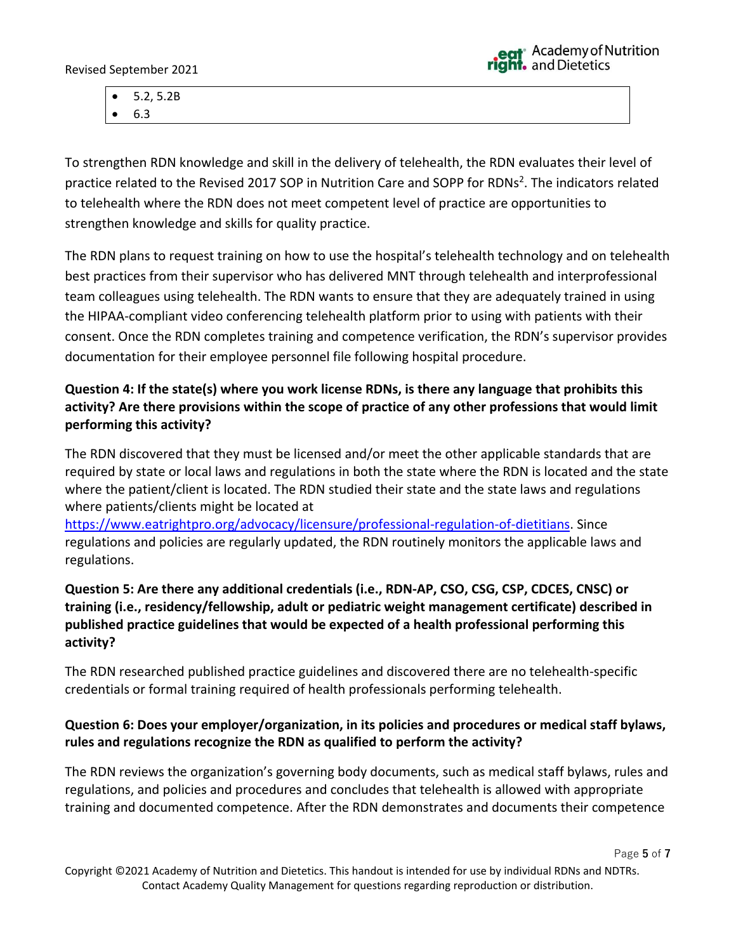Page **5** of **7**

• 5.2, 5.2B • 6.3

To strengthen RDN knowledge and skill in the delivery of telehealth, the RDN evaluates their level of practice related to the Revised 2017 SOP in Nutrition Care and SOPP for RDNs<sup>2</sup>. The indicators related to telehealth where the RDN does not meet competent level of practice are opportunities to strengthen knowledge and skills for quality practice.

The RDN plans to request training on how to use the hospital's telehealth technology and on telehealth best practices from their supervisor who has delivered MNT through telehealth and interprofessional team colleagues using telehealth. The RDN wants to ensure that they are adequately trained in using the HIPAA-compliant video conferencing telehealth platform prior to using with patients with their consent. Once the RDN completes training and competence verification, the RDN's supervisor provides documentation for their employee personnel file following hospital procedure.

# **Question 4: If the state(s) where you work license RDNs, is there any language that prohibits this activity? Are there provisions within the scope of practice of any other professions that would limit performing this activity?**

The RDN discovered that they must be licensed and/or meet the other applicable standards that are required by state or local laws and regulations in both the state where the RDN is located and the state where the patient/client is located. The RDN studied their state and the state laws and regulations where patients/clients might be located at

[https://www.eatrightpro.org/advocacy/licensure/professional-regulation-of-dietitians.](https://www.eatrightpro.org/advocacy/licensure/professional-regulation-of-dietitians) Since regulations and policies are regularly updated, the RDN routinely monitors the applicable laws and regulations.

# **Question 5: Are there any additional credentials (i.e., RDN-AP, CSO, CSG, CSP, CDCES, CNSC) or training (i.e., residency/fellowship, adult or pediatric weight management certificate) described in published practice guidelines that would be expected of a health professional performing this activity?**

The RDN researched published practice guidelines and discovered there are no telehealth-specific credentials or formal training required of health professionals performing telehealth.

# **Question 6: Does your employer/organization, in its policies and procedures or medical staff bylaws, rules and regulations recognize the RDN as qualified to perform the activity?**

The RDN reviews the organization's governing body documents, such as medical staff bylaws, rules and regulations, and policies and procedures and concludes that telehealth is allowed with appropriate training and documented competence. After the RDN demonstrates and documents their competence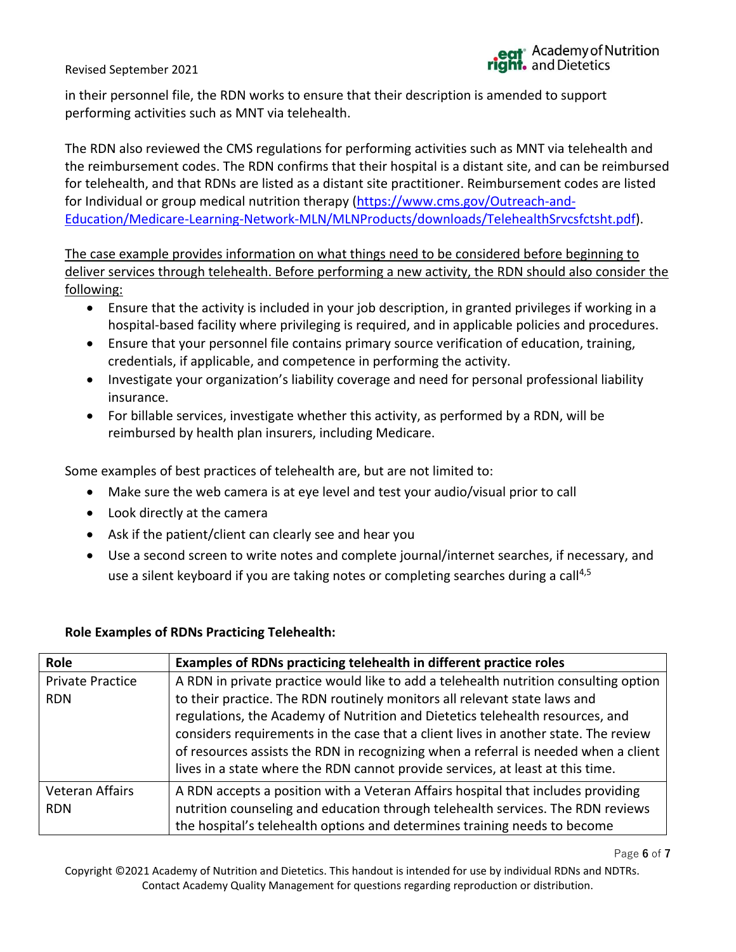in their personnel file, the RDN works to ensure that their description is amended to support performing activities such as MNT via telehealth.

The RDN also reviewed the CMS regulations for performing activities such as MNT via telehealth and the reimbursement codes. The RDN confirms that their hospital is a distant site, and can be reimbursed for telehealth, and that RDNs are listed as a distant site practitioner. Reimbursement codes are listed for Individual or group medical nutrition therapy [\(https://www.cms.gov/Outreach-and-](https://www.cms.gov/Outreach-and-Education/Medicare-Learning-Network-MLN/MLNProducts/downloads/TelehealthSrvcsfctsht.pdf)[Education/Medicare-Learning-Network-MLN/MLNProducts/downloads/TelehealthSrvcsfctsht.pdf\)](https://www.cms.gov/Outreach-and-Education/Medicare-Learning-Network-MLN/MLNProducts/downloads/TelehealthSrvcsfctsht.pdf).

The case example provides information on what things need to be considered before beginning to deliver services through telehealth. Before performing a new activity, the RDN should also consider the following:

- Ensure that the activity is included in your job description, in granted privileges if working in a hospital-based facility where privileging is required, and in applicable policies and procedures.
- Ensure that your personnel file contains primary source verification of education, training, credentials, if applicable, and competence in performing the activity.
- Investigate your organization's liability coverage and need for personal professional liability insurance.
- For billable services, investigate whether this activity, as performed by a RDN, will be reimbursed by health plan insurers, including Medicare.

Some examples of best practices of telehealth are, but are not limited to:

- Make sure the web camera is at eye level and test your audio/visual prior to call
- Look directly at the camera
- Ask if the patient/client can clearly see and hear you
- Use a second screen to write notes and complete journal/internet searches, if necessary, and use a silent keyboard if you are taking notes or completing searches during a call<sup>4,5</sup>

### **Role Examples of RDNs Practicing Telehealth:**

| Role                    | Examples of RDNs practicing telehealth in different practice roles                   |
|-------------------------|--------------------------------------------------------------------------------------|
| <b>Private Practice</b> | A RDN in private practice would like to add a telehealth nutrition consulting option |
| <b>RDN</b>              | to their practice. The RDN routinely monitors all relevant state laws and            |
|                         | regulations, the Academy of Nutrition and Dietetics telehealth resources, and        |
|                         | considers requirements in the case that a client lives in another state. The review  |
|                         | of resources assists the RDN in recognizing when a referral is needed when a client  |
|                         | lives in a state where the RDN cannot provide services, at least at this time.       |
| <b>Veteran Affairs</b>  | A RDN accepts a position with a Veteran Affairs hospital that includes providing     |
| <b>RDN</b>              | nutrition counseling and education through telehealth services. The RDN reviews      |
|                         | the hospital's telehealth options and determines training needs to become            |

Page **6** of **7**

Copyright ©2021 Academy of Nutrition and Dietetics. This handout is intended for use by individual RDNs and NDTRs. Contact Academy Quality Management for questions regarding reproduction or distribution.